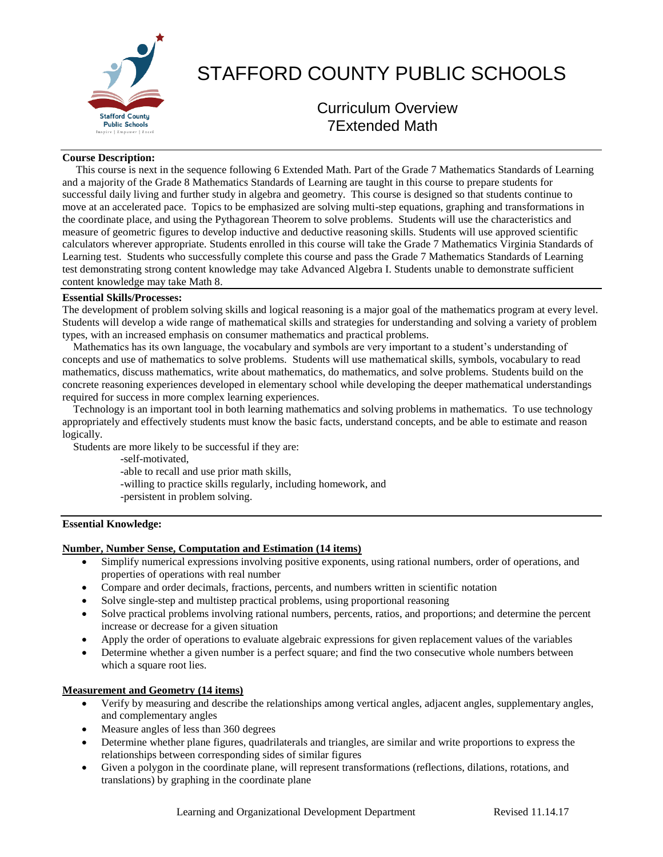

# STAFFORD COUNTY PUBLIC SCHOOLS

# Curriculum Overview 7Extended Math

# **Course Description:**

 This course is next in the sequence following 6 Extended Math. Part of the Grade 7 Mathematics Standards of Learning and a majority of the Grade 8 Mathematics Standards of Learning are taught in this course to prepare students for successful daily living and further study in algebra and geometry. This course is designed so that students continue to move at an accelerated pace. Topics to be emphasized are solving multi-step equations, graphing and transformations in the coordinate place, and using the Pythagorean Theorem to solve problems. Students will use the characteristics and measure of geometric figures to develop inductive and deductive reasoning skills. Students will use approved scientific calculators wherever appropriate. Students enrolled in this course will take the Grade 7 Mathematics Virginia Standards of Learning test. Students who successfully complete this course and pass the Grade 7 Mathematics Standards of Learning test demonstrating strong content knowledge may take Advanced Algebra I. Students unable to demonstrate sufficient content knowledge may take Math 8.

### **Essential Skills/Processes:**

The development of problem solving skills and logical reasoning is a major goal of the mathematics program at every level. Students will develop a wide range of mathematical skills and strategies for understanding and solving a variety of problem types, with an increased emphasis on consumer mathematics and practical problems.

 Mathematics has its own language, the vocabulary and symbols are very important to a student's understanding of concepts and use of mathematics to solve problems. Students will use mathematical skills, symbols, vocabulary to read mathematics, discuss mathematics, write about mathematics, do mathematics, and solve problems. Students build on the concrete reasoning experiences developed in elementary school while developing the deeper mathematical understandings required for success in more complex learning experiences.

 Technology is an important tool in both learning mathematics and solving problems in mathematics. To use technology appropriately and effectively students must know the basic facts, understand concepts, and be able to estimate and reason logically.

Students are more likely to be successful if they are:

-self-motivated,

-able to recall and use prior math skills,

- -willing to practice skills regularly, including homework, and
- -persistent in problem solving.

# **Essential Knowledge:**

#### **Number, Number Sense, Computation and Estimation (14 items)**

- Simplify numerical expressions involving positive exponents, using rational numbers, order of operations, and properties of operations with real number
- Compare and order decimals, fractions, percents, and numbers written in scientific notation
- Solve single-step and multistep practical problems, using proportional reasoning
- Solve practical problems involving rational numbers, percents, ratios, and proportions; and determine the percent increase or decrease for a given situation
- Apply the order of operations to evaluate algebraic expressions for given replacement values of the variables
- Determine whether a given number is a perfect square; and find the two consecutive whole numbers between which a square root lies.

# **Measurement and Geometry (14 items)**

- Verify by measuring and describe the relationships among vertical angles, adjacent angles, supplementary angles, and complementary angles
- Measure angles of less than 360 degrees
- Determine whether plane figures, quadrilaterals and triangles, are similar and write proportions to express the relationships between corresponding sides of similar figures
- Given a polygon in the coordinate plane, will represent transformations (reflections, dilations, rotations, and translations) by graphing in the coordinate plane